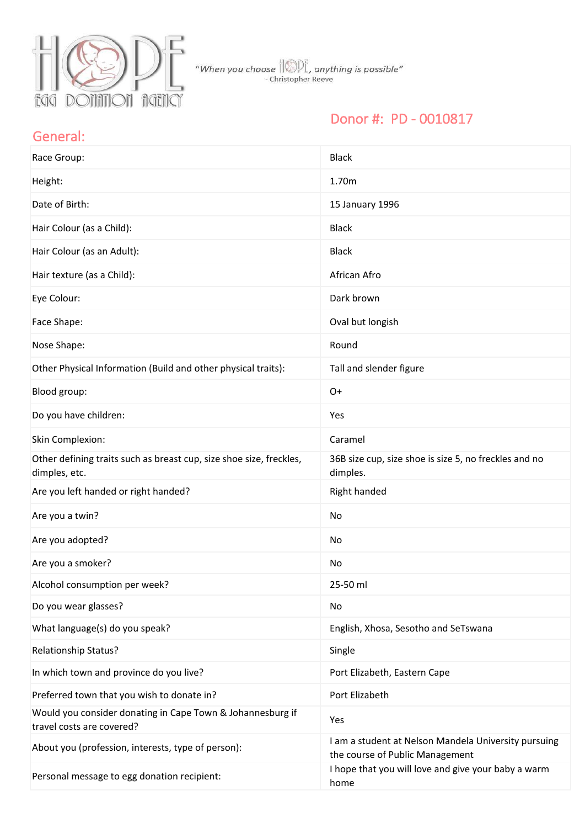

"When you choose  $\text{min}_{\text{ex}}$ , anything is possible"<br>- Christopher Reeve

## Donor #: PD - 0010817

#### General:

| Race Group:                                                                             | <b>Black</b>                                                                            |
|-----------------------------------------------------------------------------------------|-----------------------------------------------------------------------------------------|
| Height:                                                                                 | 1.70m                                                                                   |
| Date of Birth:                                                                          | 15 January 1996                                                                         |
| Hair Colour (as a Child):                                                               | <b>Black</b>                                                                            |
| Hair Colour (as an Adult):                                                              | <b>Black</b>                                                                            |
| Hair texture (as a Child):                                                              | African Afro                                                                            |
| Eye Colour:                                                                             | Dark brown                                                                              |
| Face Shape:                                                                             | Oval but longish                                                                        |
| Nose Shape:                                                                             | Round                                                                                   |
| Other Physical Information (Build and other physical traits):                           | Tall and slender figure                                                                 |
| Blood group:                                                                            | $O+$                                                                                    |
| Do you have children:                                                                   | Yes                                                                                     |
| Skin Complexion:                                                                        | Caramel                                                                                 |
| Other defining traits such as breast cup, size shoe size, freckles,<br>dimples, etc.    | 36B size cup, size shoe is size 5, no freckles and no<br>dimples.                       |
| Are you left handed or right handed?                                                    | Right handed                                                                            |
| Are you a twin?                                                                         | No                                                                                      |
| Are you adopted?                                                                        | No                                                                                      |
| Are you a smoker?                                                                       | No                                                                                      |
| Alcohol consumption per week?                                                           | 25-50 ml                                                                                |
| Do you wear glasses?                                                                    | No                                                                                      |
| What language(s) do you speak?                                                          | English, Xhosa, Sesotho and SeTswana                                                    |
| <b>Relationship Status?</b>                                                             | Single                                                                                  |
| In which town and province do you live?                                                 | Port Elizabeth, Eastern Cape                                                            |
| Preferred town that you wish to donate in?                                              | Port Elizabeth                                                                          |
| Would you consider donating in Cape Town & Johannesburg if<br>travel costs are covered? | Yes                                                                                     |
| About you (profession, interests, type of person):                                      | I am a student at Nelson Mandela University pursuing<br>the course of Public Management |
| Personal message to egg donation recipient:                                             | I hope that you will love and give your baby a warm<br>home                             |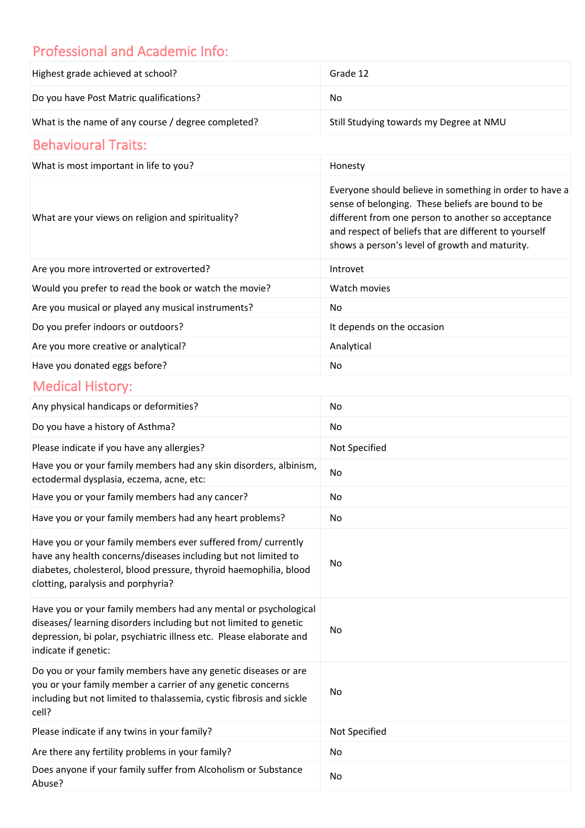# Professional and Academic Info:

| Highest grade achieved at school?                                                                                                                                                                                                          | Grade 12                                                                                                                                                                                                                                                                      |
|--------------------------------------------------------------------------------------------------------------------------------------------------------------------------------------------------------------------------------------------|-------------------------------------------------------------------------------------------------------------------------------------------------------------------------------------------------------------------------------------------------------------------------------|
| Do you have Post Matric qualifications?                                                                                                                                                                                                    | <b>No</b>                                                                                                                                                                                                                                                                     |
| What is the name of any course / degree completed?                                                                                                                                                                                         | Still Studying towards my Degree at NMU                                                                                                                                                                                                                                       |
| <b>Behavioural Traits:</b>                                                                                                                                                                                                                 |                                                                                                                                                                                                                                                                               |
| What is most important in life to you?                                                                                                                                                                                                     | Honesty                                                                                                                                                                                                                                                                       |
| What are your views on religion and spirituality?                                                                                                                                                                                          | Everyone should believe in something in order to have a<br>sense of belonging. These beliefs are bound to be<br>different from one person to another so acceptance<br>and respect of beliefs that are different to yourself<br>shows a person's level of growth and maturity. |
| Are you more introverted or extroverted?                                                                                                                                                                                                   | Introvet                                                                                                                                                                                                                                                                      |
| Would you prefer to read the book or watch the movie?                                                                                                                                                                                      | Watch movies                                                                                                                                                                                                                                                                  |
| Are you musical or played any musical instruments?                                                                                                                                                                                         | No                                                                                                                                                                                                                                                                            |
| Do you prefer indoors or outdoors?                                                                                                                                                                                                         | It depends on the occasion                                                                                                                                                                                                                                                    |
| Are you more creative or analytical?                                                                                                                                                                                                       | Analytical                                                                                                                                                                                                                                                                    |
| Have you donated eggs before?                                                                                                                                                                                                              | No                                                                                                                                                                                                                                                                            |
| <b>Medical History:</b>                                                                                                                                                                                                                    |                                                                                                                                                                                                                                                                               |
| Any physical handicaps or deformities?                                                                                                                                                                                                     | No                                                                                                                                                                                                                                                                            |
| Do you have a history of Asthma?                                                                                                                                                                                                           | No                                                                                                                                                                                                                                                                            |
| Please indicate if you have any allergies?                                                                                                                                                                                                 | Not Specified                                                                                                                                                                                                                                                                 |
| Have you or your family members had any skin disorders, albinism,<br>ectodermal dysplasia, eczema, acne, etc:                                                                                                                              | No                                                                                                                                                                                                                                                                            |
| Have you or your family members had any cancer?                                                                                                                                                                                            | No                                                                                                                                                                                                                                                                            |
| Have you or your family members had any heart problems?                                                                                                                                                                                    | No                                                                                                                                                                                                                                                                            |
| Have you or your family members ever suffered from/ currently<br>have any health concerns/diseases including but not limited to<br>diabetes, cholesterol, blood pressure, thyroid haemophilia, blood<br>clotting, paralysis and porphyria? | No                                                                                                                                                                                                                                                                            |
| Have you or your family members had any mental or psychological<br>diseases/ learning disorders including but not limited to genetic<br>depression, bi polar, psychiatric illness etc. Please elaborate and<br>indicate if genetic:        | No                                                                                                                                                                                                                                                                            |
| Do you or your family members have any genetic diseases or are<br>you or your family member a carrier of any genetic concerns<br>including but not limited to thalassemia, cystic fibrosis and sickle<br>cell?                             | No                                                                                                                                                                                                                                                                            |
| Please indicate if any twins in your family?                                                                                                                                                                                               | Not Specified                                                                                                                                                                                                                                                                 |
| Are there any fertility problems in your family?                                                                                                                                                                                           | No                                                                                                                                                                                                                                                                            |
| Does anyone if your family suffer from Alcoholism or Substance<br>Abuse?                                                                                                                                                                   | No                                                                                                                                                                                                                                                                            |